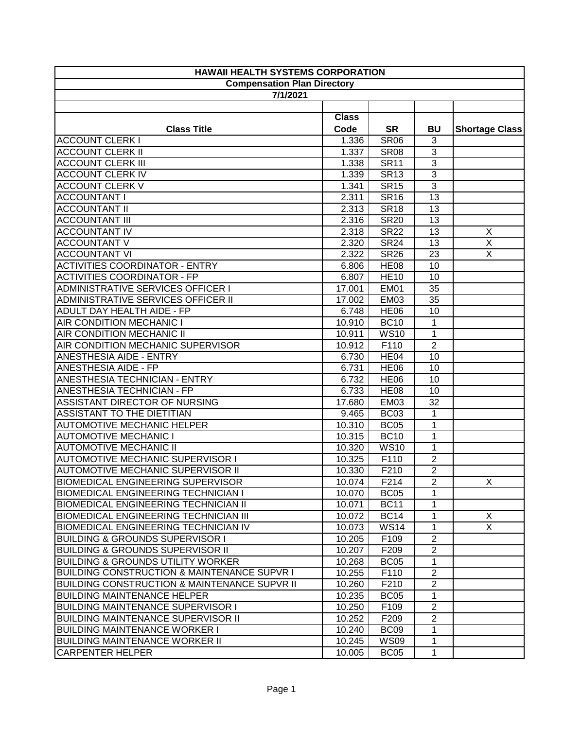| <b>HAWAII HEALTH SYSTEMS CORPORATION</b>               |              |                  |                |                         |
|--------------------------------------------------------|--------------|------------------|----------------|-------------------------|
| <b>Compensation Plan Directory</b>                     |              |                  |                |                         |
| 7/1/2021                                               |              |                  |                |                         |
|                                                        |              |                  |                |                         |
|                                                        | <b>Class</b> |                  |                |                         |
| <b>Class Title</b>                                     | Code         | <b>SR</b>        | <b>BU</b>      | <b>Shortage Class</b>   |
| <b>ACCOUNT CLERK I</b>                                 | 1.336        | <b>SR06</b>      | 3              |                         |
| <b>ACCOUNT CLERK II</b>                                | 1.337        | <b>SR08</b>      | $\overline{3}$ |                         |
| <b>ACCOUNT CLERK III</b>                               | 1.338        | <b>SR11</b>      | $\overline{3}$ |                         |
| <b>ACCOUNT CLERK IV</b>                                | 1.339        | <b>SR13</b>      | $\mathbf{3}$   |                         |
| <b>ACCOUNT CLERK V</b>                                 | 1.341        | <b>SR15</b>      | $\mathbf{3}$   |                         |
| <b>ACCOUNTANT I</b>                                    | 2.311        | <b>SR16</b>      | 13             |                         |
| <b>ACCOUNTANT II</b>                                   | 2.313        | <b>SR18</b>      | 13             |                         |
| <b>ACCOUNTANT III</b>                                  | 2.316        | <b>SR20</b>      | 13             |                         |
| <b>ACCOUNTANT IV</b>                                   | 2.318        | <b>SR22</b>      | 13             | X                       |
| <b>ACCOUNTANT V</b>                                    | 2.320        | <b>SR24</b>      | 13             | $\overline{\mathsf{X}}$ |
| <b>ACCOUNTANT VI</b>                                   | 2.322        | <b>SR26</b>      | 23             | $\overline{\mathsf{X}}$ |
| <b>ACTIVITIES COORDINATOR - ENTRY</b>                  | 6.806        | <b>HE08</b>      | 10             |                         |
| <b>ACTIVITIES COORDINATOR - FP</b>                     | 6.807        | <b>HE10</b>      | 10             |                         |
| ADMINISTRATIVE SERVICES OFFICER I                      | 17.001       | <b>EM01</b>      | 35             |                         |
| ADMINISTRATIVE SERVICES OFFICER II                     | 17.002       | <b>EM03</b>      | 35             |                         |
| ADULT DAY HEALTH AIDE - FP                             | 6.748        | <b>HE06</b>      | 10             |                         |
| <b>AIR CONDITION MECHANIC I</b>                        | 10.910       | <b>BC10</b>      | $\mathbf{1}$   |                         |
| <b>AIR CONDITION MECHANIC II</b>                       | 10.911       | <b>WS10</b>      | $\mathbf{1}$   |                         |
| AIR CONDITION MECHANIC SUPERVISOR                      | 10.912       | F110             | $\overline{2}$ |                         |
| ANESTHESIA AIDE - ENTRY                                | 6.730        | HE04             | 10             |                         |
| <b>ANESTHESIA AIDE - FP</b>                            | 6.731        | <b>HE06</b>      | 10             |                         |
| ANESTHESIA TECHNICIAN - ENTRY                          | 6.732        | <b>HE06</b>      | 10             |                         |
| ANESTHESIA TECHNICIAN - FP                             | 6.733        | <b>HE08</b>      | 10             |                         |
| ASSISTANT DIRECTOR OF NURSING                          | 17.680       | <b>EM03</b>      | 32             |                         |
| ASSISTANT TO THE DIETITIAN                             | 9.465        | <b>BC03</b>      | 1              |                         |
| <b>AUTOMOTIVE MECHANIC HELPER</b>                      | 10.310       | <b>BC05</b>      | $\mathbf{1}$   |                         |
| <b>AUTOMOTIVE MECHANIC I</b>                           | 10.315       | <b>BC10</b>      | 1              |                         |
| <b>AUTOMOTIVE MECHANIC II</b>                          | 10.320       | <b>WS10</b>      | $\mathbf{1}$   |                         |
| <b>AUTOMOTIVE MECHANIC SUPERVISOR I</b>                | 10.325       | F110             | $\overline{2}$ |                         |
| AUTOMOTIVE MECHANIC SUPERVISOR II                      | 10.330       | F210             | $\overline{2}$ |                         |
| <b>BIOMEDICAL ENGINEERING SUPERVISOR</b>               | 10.074       | F214             | $\overline{2}$ | X.                      |
| <b>BIOMEDICAL ENGINEERING TECHNICIAN I</b>             | 10.070       | BC <sub>05</sub> | 1              |                         |
| <b>BIOMEDICAL ENGINEERING TECHNICIAN II</b>            | 10.071       | <b>BC11</b>      | 1              |                         |
| <b>BIOMEDICAL ENGINEERING TECHNICIAN III</b>           | 10.072       | <b>BC14</b>      | 1              | X                       |
| <b>BIOMEDICAL ENGINEERING TECHNICIAN IV</b>            | 10.073       | <b>WS14</b>      | 1              | $\overline{X}$          |
| <b>BUILDING &amp; GROUNDS SUPERVISOR I</b>             | 10.205       | F109             | $\overline{2}$ |                         |
| <b>BUILDING &amp; GROUNDS SUPERVISOR II</b>            | 10.207       | F <sub>209</sub> | $\overline{2}$ |                         |
| <b>BUILDING &amp; GROUNDS UTILITY WORKER</b>           | 10.268       | BC <sub>05</sub> | 1              |                         |
| <b>BUILDING CONSTRUCTION &amp; MAINTENANCE SUPVR I</b> | 10.255       | F110             | $\overline{2}$ |                         |
| BUILDING CONSTRUCTION & MAINTENANCE SUPVR II           | 10.260       | F210             | $\overline{2}$ |                         |
| <b>BUILDING MAINTENANCE HELPER</b>                     | 10.235       | <b>BC05</b>      | 1              |                         |
| <b>BUILDING MAINTENANCE SUPERVISOR I</b>               | 10.250       | F109             | $\mathbf{2}$   |                         |
| <b>BUILDING MAINTENANCE SUPERVISOR II</b>              | 10.252       | F <sub>209</sub> | $\overline{2}$ |                         |
| <b>BUILDING MAINTENANCE WORKER I</b>                   | 10.240       | BC <sub>09</sub> | $\mathbf{1}$   |                         |
| <b>BUILDING MAINTENANCE WORKER II</b>                  | 10.245       | <b>WS09</b>      | $\mathbf{1}$   |                         |
| <b>CARPENTER HELPER</b>                                | 10.005       | BC <sub>05</sub> | $\mathbf{1}$   |                         |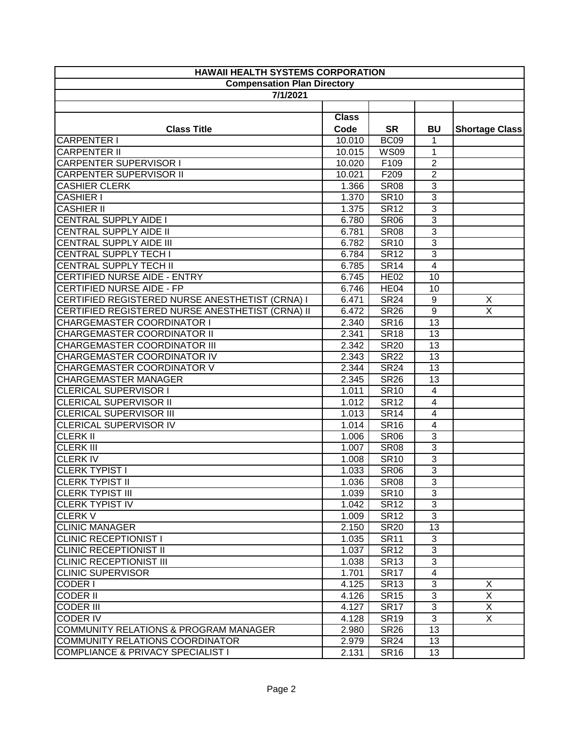| <b>HAWAII HEALTH SYSTEMS CORPORATION</b>         |              |                  |                         |                         |
|--------------------------------------------------|--------------|------------------|-------------------------|-------------------------|
| <b>Compensation Plan Directory</b>               |              |                  |                         |                         |
| 7/1/2021                                         |              |                  |                         |                         |
|                                                  |              |                  |                         |                         |
|                                                  | <b>Class</b> |                  |                         |                         |
| <b>Class Title</b>                               | Code         | <b>SR</b>        | <b>BU</b>               | <b>Shortage Class</b>   |
| <b>CARPENTER I</b>                               | 10.010       | <b>BC09</b>      | 1                       |                         |
| <b>CARPENTER II</b>                              | 10.015       | <b>WS09</b>      | $\mathbf{1}$            |                         |
| <b>CARPENTER SUPERVISOR I</b>                    | 10.020       | F109             | $\overline{2}$          |                         |
| <b>CARPENTER SUPERVISOR II</b>                   | 10.021       | F209             | $\overline{2}$          |                         |
| <b>CASHIER CLERK</b>                             | 1.366        | <b>SR08</b>      | 3                       |                         |
| <b>CASHIER I</b>                                 | 1.370        | <b>SR10</b>      | $\overline{3}$          |                         |
| <b>CASHIER II</b>                                | 1.375        | <b>SR12</b>      | $\overline{\omega}$     |                         |
| <b>CENTRAL SUPPLY AIDE I</b>                     | 6.780        | <b>SR06</b>      | 3                       |                         |
| <b>CENTRAL SUPPLY AIDE II</b>                    | 6.781        | <b>SR08</b>      | $\overline{\omega}$     |                         |
| CENTRAL SUPPLY AIDE III                          | 6.782        | <b>SR10</b>      | $\overline{3}$          |                         |
| <b>CENTRAL SUPPLY TECH I</b>                     | 6.784        | <b>SR12</b>      | $\overline{3}$          |                         |
| <b>CENTRAL SUPPLY TECH II</b>                    | 6.785        | <b>SR14</b>      | $\overline{4}$          |                         |
| CERTIFIED NURSE AIDE - ENTRY                     | 6.745        | <b>HE02</b>      | 10                      |                         |
| CERTIFIED NURSE AIDE - FP                        | 6.746        | HE <sub>04</sub> | 10                      |                         |
| CERTIFIED REGISTERED NURSE ANESTHETIST (CRNA) I  | 6.471        | <b>SR24</b>      | 9                       | X                       |
| CERTIFIED REGISTERED NURSE ANESTHETIST (CRNA) II | 6.472        | <b>SR26</b>      | $9\,$                   | $\overline{\mathsf{x}}$ |
| <b>CHARGEMASTER COORDINATOR I</b>                | 2.340        | <b>SR16</b>      | 13                      |                         |
| CHARGEMASTER COORDINATOR II                      | 2.341        | <b>SR18</b>      | 13                      |                         |
| CHARGEMASTER COORDINATOR III                     | 2.342        | <b>SR20</b>      | 13                      |                         |
| <b>CHARGEMASTER COORDINATOR IV</b>               | 2.343        | <b>SR22</b>      | 13                      |                         |
| CHARGEMASTER COORDINATOR V                       | 2.344        | <b>SR24</b>      | 13                      |                         |
| <b>CHARGEMASTER MANAGER</b>                      | 2.345        | <b>SR26</b>      | 13                      |                         |
| <b>CLERICAL SUPERVISOR I</b>                     | 1.011        | <b>SR10</b>      | 4                       |                         |
| <b>CLERICAL SUPERVISOR II</b>                    | 1.012        | <b>SR12</b>      | 4                       |                         |
| <b>CLERICAL SUPERVISOR III</b>                   | 1.013        | <b>SR14</b>      | 4                       |                         |
| <b>CLERICAL SUPERVISOR IV</b>                    | 1.014        | <b>SR16</b>      | $\overline{\mathbf{4}}$ |                         |
| <b>CLERK II</b>                                  | 1.006        | <b>SR06</b>      | $\overline{3}$          |                         |
| <b>CLERK III</b>                                 | 1.007        | <b>SR08</b>      | $\overline{3}$          |                         |
| <b>CLERKIV</b>                                   | 1.008        | <b>SR10</b>      | $\overline{3}$          |                         |
| <b>CLERK TYPIST I</b>                            | 1.033        | <b>SR06</b>      | $\overline{3}$          |                         |
| <b>CLERK TYPIST II</b>                           | 1.036        | <b>SR08</b>      | 3                       |                         |
| <b>CLERK TYPIST III</b>                          | 1.039        | <b>SR10</b>      | 3                       |                         |
| <b>CLERK TYPIST IV</b>                           | 1.042        | <b>SR12</b>      | 3                       |                         |
| <b>CLERK V</b>                                   | 1.009        | <b>SR12</b>      | 3                       |                         |
| <b>CLINIC MANAGER</b>                            | 2.150        | <b>SR20</b>      | 13                      |                         |
| <b>CLINIC RECEPTIONIST I</b>                     | 1.035        | <b>SR11</b>      | 3                       |                         |
| <b>CLINIC RECEPTIONIST II</b>                    | 1.037        | <b>SR12</b>      | 3                       |                         |
| <b>CLINIC RECEPTIONIST III</b>                   | 1.038        | <b>SR13</b>      | 3                       |                         |
| <b>CLINIC SUPERVISOR</b>                         | 1.701        | <b>SR17</b>      | $\overline{4}$          |                         |
| <b>CODER I</b>                                   | 4.125        | <b>SR13</b>      | 3                       | X                       |
| <b>CODER II</b>                                  | 4.126        | <b>SR15</b>      | 3                       | $\overline{X}$          |
| <b>CODER III</b>                                 | 4.127        | <b>SR17</b>      | $\mathbf{3}$            | X                       |
| <b>CODER IV</b>                                  | 4.128        | <b>SR19</b>      | 3                       | $\overline{X}$          |
| COMMUNITY RELATIONS & PROGRAM MANAGER            | 2.980        | <b>SR26</b>      | 13                      |                         |
| COMMUNITY RELATIONS COORDINATOR                  | 2.979        | <b>SR24</b>      | 13                      |                         |
| COMPLIANCE & PRIVACY SPECIALIST I                | 2.131        | <b>SR16</b>      | 13                      |                         |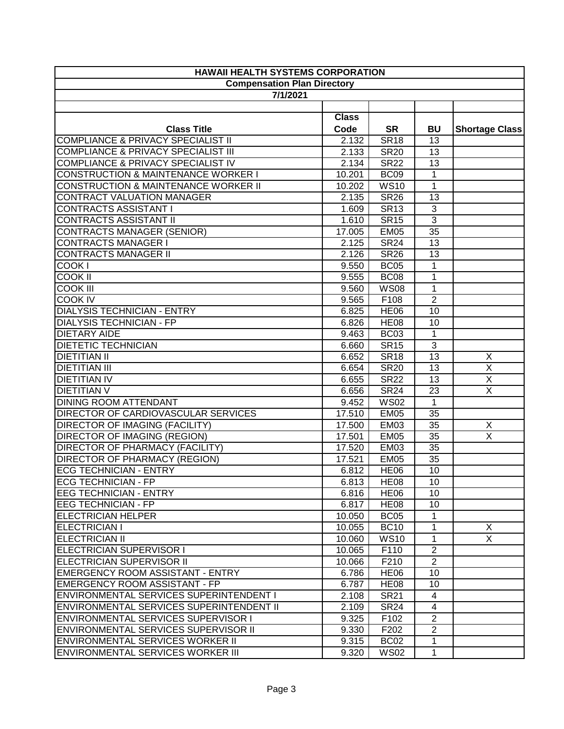| <b>HAWAII HEALTH SYSTEMS CORPORATION</b>        |              |                  |                |                         |
|-------------------------------------------------|--------------|------------------|----------------|-------------------------|
| <b>Compensation Plan Directory</b>              |              |                  |                |                         |
| 7/1/2021                                        |              |                  |                |                         |
|                                                 |              |                  |                |                         |
|                                                 | <b>Class</b> |                  |                |                         |
| <b>Class Title</b>                              | Code         | <b>SR</b>        | <b>BU</b>      | <b>Shortage Class</b>   |
| <b>COMPLIANCE &amp; PRIVACY SPECIALIST II</b>   | 2.132        | <b>SR18</b>      | 13             |                         |
| <b>COMPLIANCE &amp; PRIVACY SPECIALIST III</b>  | 2.133        | <b>SR20</b>      | 13             |                         |
| <b>COMPLIANCE &amp; PRIVACY SPECIALIST IV</b>   | 2.134        | <b>SR22</b>      | 13             |                         |
| <b>CONSTRUCTION &amp; MAINTENANCE WORKER I</b>  | 10.201       | <b>BC09</b>      | $\mathbf{1}$   |                         |
| CONSTRUCTION & MAINTENANCE WORKER II            | 10.202       | <b>WS10</b>      | $\mathbf{1}$   |                         |
| CONTRACT VALUATION MANAGER                      | 2.135        | <b>SR26</b>      | 13             |                         |
| <b>CONTRACTS ASSISTANT I</b>                    | 1.609        | <b>SR13</b>      | 3              |                         |
| <b>CONTRACTS ASSISTANT II</b>                   | 1.610        | <b>SR15</b>      | $\overline{3}$ |                         |
| <b>CONTRACTS MANAGER (SENIOR)</b>               | 17.005       | <b>EM05</b>      | 35             |                         |
| <b>CONTRACTS MANAGER I</b>                      | 2.125        | <b>SR24</b>      | 13             |                         |
| <b>CONTRACTS MANAGER II</b>                     | 2.126        | <b>SR26</b>      | 13             |                         |
| COOK I                                          | 9.550        | <b>BC05</b>      | 1              |                         |
| <b>COOK II</b>                                  | 9.555        | <b>BC08</b>      | 1              |                         |
| <b>COOK III</b>                                 | 9.560        | <b>WS08</b>      | 1              |                         |
| <b>COOK IV</b>                                  | 9.565        | F108             | $\overline{2}$ |                         |
| <b>DIALYSIS TECHNICIAN - ENTRY</b>              | 6.825        | <b>HE06</b>      | 10             |                         |
| <b>DIALYSIS TECHNICIAN - FP</b>                 | 6.826        | <b>HE08</b>      | 10             |                         |
| <b>DIETARY AIDE</b>                             | 9.463        | <b>BC03</b>      | $\mathbf{1}$   |                         |
| <b>DIETETIC TECHNICIAN</b>                      | 6.660        | <b>SR15</b>      | 3              |                         |
| <b>DIETITIAN II</b>                             | 6.652        | <b>SR18</b>      | 13             | X                       |
| <b>DIETITIAN III</b>                            | 6.654        | <b>SR20</b>      | 13             | $\overline{\mathsf{x}}$ |
| <b>DIETITIAN IV</b>                             | 6.655        | <b>SR22</b>      | 13             | Χ                       |
| <b>DIETITIAN V</b>                              | 6.656        | <b>SR24</b>      | 23             | $\overline{\mathsf{x}}$ |
| <b>DINING ROOM ATTENDANT</b>                    | 9.452        | <b>WS02</b>      | $\mathbf{1}$   |                         |
| <b>DIRECTOR OF CARDIOVASCULAR SERVICES</b>      | 17.510       | <b>EM05</b>      | 35             |                         |
| <b>DIRECTOR OF IMAGING (FACILITY)</b>           | 17.500       | <b>EM03</b>      | 35             | X                       |
| <b>DIRECTOR OF IMAGING (REGION)</b>             | 17.501       | <b>EM05</b>      | 35             | $\overline{\mathsf{x}}$ |
| <b>DIRECTOR OF PHARMACY (FACILITY)</b>          | 17.520       | <b>EM03</b>      | 35             |                         |
| <b>DIRECTOR OF PHARMACY (REGION)</b>            | 17.521       | <b>EM05</b>      | 35             |                         |
| <b>ECG TECHNICIAN - ENTRY</b>                   | 6.812        | <b>HE06</b>      | 10             |                         |
| <b>ECG TECHNICIAN - FP</b>                      | 6.813        | <b>HE08</b>      | 10             |                         |
| <b>JEEG TECHNICIAN - ENTRY</b>                  | 6.816        | HE <sub>06</sub> | 10             |                         |
| <b>EEG TECHNICIAN - FP</b>                      | 6.817        | HE <sub>08</sub> | 10             |                         |
| <b>ELECTRICIAN HELPER</b>                       | 10.050       | BC <sub>05</sub> | 1              |                         |
| ELECTRICIAN I                                   | 10.055       | <b>BC10</b>      | 1              | X                       |
| ELECTRICIAN II                                  | 10.060       | <b>WS10</b>      | 1              | $\overline{X}$          |
| ELECTRICIAN SUPERVISOR I                        | 10.065       | F110             | $\overline{2}$ |                         |
| <b>IELECTRICIAN SUPERVISOR II</b>               | 10.066       | F210             | $\overline{2}$ |                         |
| <b>IEMERGENCY ROOM ASSISTANT - ENTRY</b>        | 6.786        | HE <sub>06</sub> | 10             |                         |
| EMERGENCY ROOM ASSISTANT - FP                   | 6.787        | <b>HE08</b>      | 10             |                         |
| ENVIRONMENTAL SERVICES SUPERINTENDENT I         | 2.108        | <b>SR21</b>      | 4              |                         |
| <b>ENVIRONMENTAL SERVICES SUPERINTENDENT II</b> | 2.109        | <b>SR24</b>      | 4              |                         |
| ENVIRONMENTAL SERVICES SUPERVISOR I             | 9.325        | F102             | $\overline{2}$ |                         |
| ENVIRONMENTAL SERVICES SUPERVISOR II            | 9.330        | F202             | $\overline{2}$ |                         |
| ENVIRONMENTAL SERVICES WORKER II                | 9.315        | BC <sub>02</sub> | $\mathbf{1}$   |                         |
| <b>ENVIRONMENTAL SERVICES WORKER III</b>        | 9.320        | <b>WS02</b>      | $\mathbf{1}$   |                         |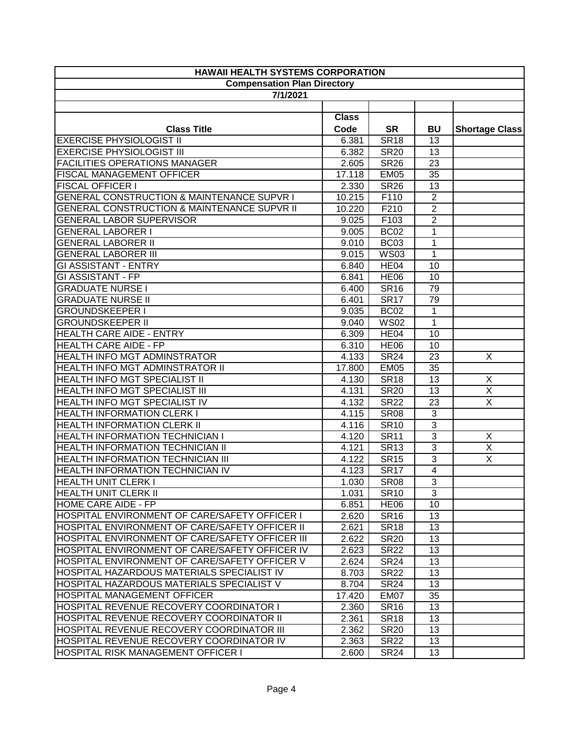| <b>HAWAII HEALTH SYSTEMS CORPORATION</b>               |              |             |                |                         |
|--------------------------------------------------------|--------------|-------------|----------------|-------------------------|
| <b>Compensation Plan Directory</b>                     |              |             |                |                         |
| 7/1/2021                                               |              |             |                |                         |
|                                                        |              |             |                |                         |
|                                                        | <b>Class</b> |             |                |                         |
| <b>Class Title</b>                                     | Code         | <b>SR</b>   | <b>BU</b>      | <b>Shortage Class</b>   |
| <b>EXERCISE PHYSIOLOGIST II</b>                        | 6.381        | <b>SR18</b> | 13             |                         |
| <b>EXERCISE PHYSIOLOGIST III</b>                       | 6.382        | <b>SR20</b> | 13             |                         |
| <b>FACILITIES OPERATIONS MANAGER</b>                   | 2.605        | <b>SR26</b> | 23             |                         |
| <b>FISCAL MANAGEMENT OFFICER</b>                       | 17.118       | <b>EM05</b> | 35             |                         |
| <b>FISCAL OFFICER I</b>                                | 2.330        | <b>SR26</b> | 13             |                         |
| <b>GENERAL CONSTRUCTION &amp; MAINTENANCE SUPVR I</b>  | 10.215       | F110        | $\overline{2}$ |                         |
| <b>GENERAL CONSTRUCTION &amp; MAINTENANCE SUPVR II</b> | 10.220       | F210        | $\overline{2}$ |                         |
| <b>GENERAL LABOR SUPERVISOR</b>                        | 9.025        | F103        | $\overline{2}$ |                         |
| <b>GENERAL LABORER I</b>                               | 9.005        | <b>BC02</b> | $\mathbf{1}$   |                         |
| <b>GENERAL LABORER II</b>                              | 9.010        | <b>BC03</b> | $\mathbf{1}$   |                         |
| <b>GENERAL LABORER III</b>                             | 9.015        | <b>WS03</b> | 1              |                         |
| <b>GI ASSISTANT - ENTRY</b>                            | 6.840        | HE04        | 10             |                         |
| <b>GI ASSISTANT - FP</b>                               | 6.841        | <b>HE06</b> | 10             |                         |
| <b>GRADUATE NURSE I</b>                                | 6.400        | <b>SR16</b> | 79             |                         |
| <b>GRADUATE NURSE II</b>                               | 6.401        | <b>SR17</b> | 79             |                         |
| <b>GROUNDSKEEPER I</b>                                 | 9.035        | <b>BC02</b> | $\mathbf{1}$   |                         |
| <b>GROUNDSKEEPER II</b>                                | 9.040        | <b>WS02</b> | $\mathbf{1}$   |                         |
| <b>HEALTH CARE AIDE - ENTRY</b>                        | 6.309        | HE04        | 10             |                         |
| <b>HEALTH CARE AIDE - FP</b>                           | 6.310        | <b>HE06</b> | 10             |                         |
| HEALTH INFO MGT ADMINSTRATOR                           | 4.133        | <b>SR24</b> | 23             | X                       |
| HEALTH INFO MGT ADMINSTRATOR II                        | 17.800       | <b>EM05</b> | 35             |                         |
| <b>HEALTH INFO MGT SPECIALIST II</b>                   | 4.130        | <b>SR18</b> | 13             | $\overline{X}$          |
| HEALTH INFO MGT SPECIALIST III                         | 4.131        | <b>SR20</b> | 13             | $\overline{\mathsf{X}}$ |
| HEALTH INFO MGT SPECIALIST IV                          | 4.132        | <b>SR22</b> | 23             | $\overline{X}$          |
| <b>HEALTH INFORMATION CLERK I</b>                      | 4.115        | <b>SR08</b> | 3              |                         |
| <b>HEALTH INFORMATION CLERK II</b>                     | 4.116        | <b>SR10</b> | $\overline{3}$ |                         |
| <b>HEALTH INFORMATION TECHNICIAN I</b>                 | 4.120        | <b>SR11</b> | $\overline{3}$ | X                       |
| <b>HEALTH INFORMATION TECHNICIAN II</b>                | 4.121        | <b>SR13</b> | $\overline{3}$ | X                       |
| <b>HEALTH INFORMATION TECHNICIAN III</b>               | 4.122        | <b>SR15</b> | 3              | X                       |
| <b>HEALTH INFORMATION TECHNICIAN IV</b>                | 4.123        | <b>SR17</b> | $\overline{4}$ |                         |
| <b>HEALTH UNIT CLERK I</b>                             | 1.030        | <b>SR08</b> | 3              |                         |
| <b>HEALTH UNIT CLERK II</b>                            | 1.031        | <b>SR10</b> | 3              |                         |
| HOME CARE AIDE - FP                                    | 6.851        | <b>HE06</b> | 10             |                         |
| HOSPITAL ENVIRONMENT OF CARE/SAFETY OFFICER I          | 2.620        | <b>SR16</b> | 13             |                         |
| HOSPITAL ENVIRONMENT OF CARE/SAFETY OFFICER II         | 2.621        | <b>SR18</b> | 13             |                         |
| HOSPITAL ENVIRONMENT OF CARE/SAFETY OFFICER III        | 2.622        | <b>SR20</b> | 13             |                         |
| HOSPITAL ENVIRONMENT OF CARE/SAFETY OFFICER IV         | 2.623        | <b>SR22</b> | 13             |                         |
| HOSPITAL ENVIRONMENT OF CARE/SAFETY OFFICER V          | 2.624        | <b>SR24</b> | 13             |                         |
| HOSPITAL HAZARDOUS MATERIALS SPECIALIST IV             | 8.703        | <b>SR22</b> | 13             |                         |
| HOSPITAL HAZARDOUS MATERIALS SPECIALIST V              | 8.704        | <b>SR24</b> | 13             |                         |
| <b>HOSPITAL MANAGEMENT OFFICER</b>                     | 17.420       | EM07        | 35             |                         |
| <b>HOSPITAL REVENUE RECOVERY COORDINATOR I</b>         | 2.360        | <b>SR16</b> | 13             |                         |
| HOSPITAL REVENUE RECOVERY COORDINATOR II               | 2.361        | <b>SR18</b> | 13             |                         |
| HOSPITAL REVENUE RECOVERY COORDINATOR III              | 2.362        | <b>SR20</b> | 13             |                         |
| HOSPITAL REVENUE RECOVERY COORDINATOR IV               | 2.363        | <b>SR22</b> | 13             |                         |
| HOSPITAL RISK MANAGEMENT OFFICER I                     | 2.600        | <b>SR24</b> | 13             |                         |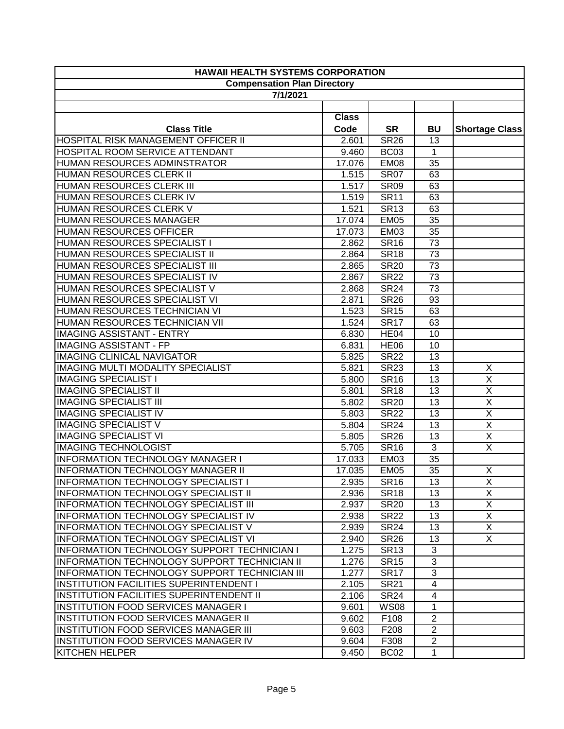| <b>HAWAII HEALTH SYSTEMS CORPORATION</b>            |              |                  |                |                         |
|-----------------------------------------------------|--------------|------------------|----------------|-------------------------|
| <b>Compensation Plan Directory</b>                  |              |                  |                |                         |
| 7/1/2021                                            |              |                  |                |                         |
|                                                     |              |                  |                |                         |
|                                                     | <b>Class</b> |                  |                |                         |
| <b>Class Title</b>                                  | Code         | <b>SR</b>        | <b>BU</b>      | <b>Shortage Class</b>   |
| HOSPITAL RISK MANAGEMENT OFFICER II                 | 2.601        | <b>SR26</b>      | 13             |                         |
| HOSPITAL ROOM SERVICE ATTENDANT                     | 9.460        | <b>BC03</b>      | $\mathbf 1$    |                         |
| HUMAN RESOURCES ADMINSTRATOR                        | 17.076       | EM08             | 35             |                         |
| <b>HUMAN RESOURCES CLERK II</b>                     | 1.515        | <b>SR07</b>      | 63             |                         |
| <b>HUMAN RESOURCES CLERK III</b>                    | 1.517        | <b>SR09</b>      | 63             |                         |
| HUMAN RESOURCES CLERK IV                            | 1.519        | <b>SR11</b>      | 63             |                         |
| HUMAN RESOURCES CLERK V                             | 1.521        | <b>SR13</b>      | 63             |                         |
| HUMAN RESOURCES MANAGER                             | 17.074       | <b>EM05</b>      | 35             |                         |
| HUMAN RESOURCES OFFICER                             | 17.073       | <b>EM03</b>      | 35             |                         |
| HUMAN RESOURCES SPECIALIST I                        | 2.862        | <b>SR16</b>      | 73             |                         |
| HUMAN RESOURCES SPECIALIST II                       | 2.864        | <b>SR18</b>      | 73             |                         |
| HUMAN RESOURCES SPECIALIST III                      | 2.865        | <b>SR20</b>      | 73             |                         |
| HUMAN RESOURCES SPECIALIST IV                       | 2.867        | <b>SR22</b>      | 73             |                         |
| HUMAN RESOURCES SPECIALIST V                        | 2.868        | <b>SR24</b>      | 73             |                         |
| HUMAN RESOURCES SPECIALIST VI                       | 2.871        | <b>SR26</b>      | 93             |                         |
| HUMAN RESOURCES TECHNICIAN VI                       | 1.523        | <b>SR15</b>      | 63             |                         |
| HUMAN RESOURCES TECHNICIAN VII                      | 1.524        | <b>SR17</b>      | 63             |                         |
| <b>IMAGING ASSISTANT - ENTRY</b>                    | 6.830        | HE <sub>04</sub> | 10             |                         |
| <b>IMAGING ASSISTANT - FP</b>                       | 6.831        | <b>HE06</b>      | 10             |                         |
| <b>IMAGING CLINICAL NAVIGATOR</b>                   | 5.825        | <b>SR22</b>      | 13             |                         |
| <b>IMAGING MULTI MODALITY SPECIALIST</b>            | 5.821        | <b>SR23</b>      | 13             | X                       |
| <b>IMAGING SPECIALIST I</b>                         | 5.800        | <b>SR16</b>      | 13             | $\overline{X}$          |
| <b>IMAGING SPECIALIST II</b>                        | 5.801        | <b>SR18</b>      | 13             | $\overline{\mathsf{x}}$ |
| <b>IMAGING SPECIALIST III</b>                       | 5.802        | <b>SR20</b>      | 13             | $\overline{\mathsf{X}}$ |
| <b>IMAGING SPECIALIST IV</b>                        | 5.803        | <b>SR22</b>      | 13             | $\overline{\mathsf{X}}$ |
| <b>IMAGING SPECIALIST V</b>                         | 5.804        | <b>SR24</b>      | 13             | Χ                       |
| <b>IMAGING SPECIALIST VI</b>                        | 5.805        | <b>SR26</b>      | 13             | $\overline{X}$          |
| <b>IMAGING TECHNOLOGIST</b>                         | 5.705        | <b>SR16</b>      | $\overline{3}$ | $\overline{\mathsf{x}}$ |
| <b>INFORMATION TECHNOLOGY MANAGER I</b>             | 17.033       | EM03             | 35             |                         |
| <b>INFORMATION TECHNOLOGY MANAGER II</b>            | 17.035       | <b>EM05</b>      | 35             | X                       |
| INFORMATION TECHNOLOGY SPECIALIST I                 | 2.935        | <b>SR16</b>      | 13             | X.                      |
| INFORMATION TECHNOLOGY SPECIALIST II                | 2.936        | <b>SR18</b>      | 13             | $\overline{X}$          |
| INFORMATION TECHNOLOGY SPECIALIST III               | 2.937        | <b>SR20</b>      | 13             | X                       |
| INFORMATION TECHNOLOGY SPECIALIST IV                | 2.938        | <b>SR22</b>      | 13             | X                       |
| <b>INFORMATION TECHNOLOGY SPECIALIST V</b>          | 2.939        | <b>SR24</b>      | 13             | X                       |
| <b>INFORMATION TECHNOLOGY SPECIALIST VI</b>         | 2.940        | <b>SR26</b>      | 13             | $\overline{X}$          |
| <b>INFORMATION TECHNOLOGY SUPPORT TECHNICIAN I</b>  | 1.275        | <b>SR13</b>      | 3              |                         |
| <b>INFORMATION TECHNOLOGY SUPPORT TECHNICIAN II</b> | 1.276        | <b>SR15</b>      | 3              |                         |
| INFORMATION TECHNOLOGY SUPPORT TECHNICIAN III       | 1.277        | <b>SR17</b>      | 3              |                         |
| <b>INSTITUTION FACILITIES SUPERINTENDENT I</b>      | 2.105        | <b>SR21</b>      | $\overline{4}$ |                         |
| <b>INSTITUTION FACILITIES SUPERINTENDENT II</b>     | 2.106        | <b>SR24</b>      | 4              |                         |
| <b>INSTITUTION FOOD SERVICES MANAGER I</b>          | 9.601        | <b>WS08</b>      | 1              |                         |
| <b>INSTITUTION FOOD SERVICES MANAGER II</b>         | 9.602        | F108             | $\mathbf{2}$   |                         |
| <b>INSTITUTION FOOD SERVICES MANAGER III</b>        | 9.603        | F208             | $\overline{2}$ |                         |
| INSTITUTION FOOD SERVICES MANAGER IV                | 9.604        | F308             | $\overline{2}$ |                         |
| <b>KITCHEN HELPER</b>                               | 9.450        | BC <sub>02</sub> | 1              |                         |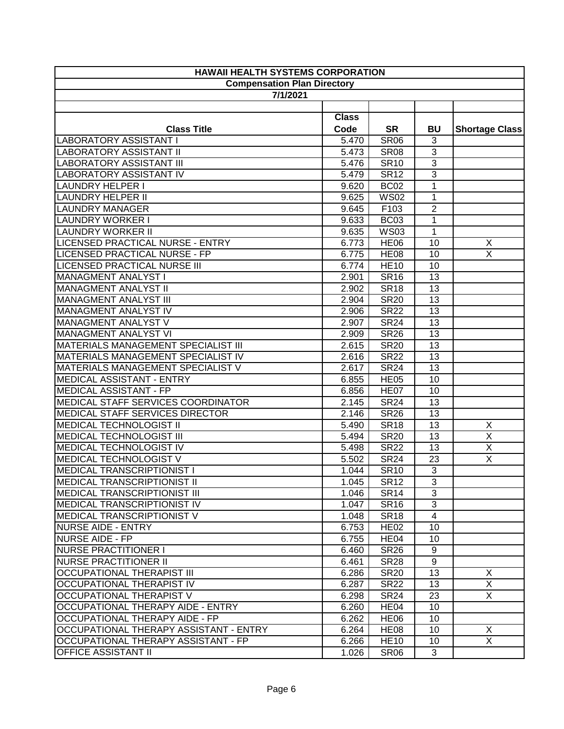| <b>HAWAII HEALTH SYSTEMS CORPORATION</b>   |              |                  |                |                         |
|--------------------------------------------|--------------|------------------|----------------|-------------------------|
| <b>Compensation Plan Directory</b>         |              |                  |                |                         |
| 7/1/2021                                   |              |                  |                |                         |
|                                            |              |                  |                |                         |
|                                            | <b>Class</b> |                  |                |                         |
| <b>Class Title</b>                         | Code         | <b>SR</b>        | <b>BU</b>      | <b>Shortage Class</b>   |
| <b>LABORATORY ASSISTANT I</b>              | 5.470        | <b>SR06</b>      | 3              |                         |
| <b>LABORATORY ASSISTANT II</b>             | 5.473        | <b>SR08</b>      | $\overline{3}$ |                         |
| <b>LABORATORY ASSISTANT III</b>            | 5.476        | <b>SR10</b>      | $\overline{3}$ |                         |
| <b>LABORATORY ASSISTANT IV</b>             | 5.479        | <b>SR12</b>      | 3              |                         |
| <b>LAUNDRY HELPER I</b>                    | 9.620        | <b>BC02</b>      | 1              |                         |
| <b>LAUNDRY HELPER II</b>                   | 9.625        | <b>WS02</b>      | $\mathbf{1}$   |                         |
| <b>LAUNDRY MANAGER</b>                     | 9.645        | F103             | $\overline{c}$ |                         |
| <b>LAUNDRY WORKER I</b>                    | 9.633        | BC03             | 1              |                         |
| <b>LAUNDRY WORKER II</b>                   | 9.635        | <b>WS03</b>      | 1              |                         |
| LICENSED PRACTICAL NURSE - ENTRY           | 6.773        | <b>HE06</b>      | 10             | X                       |
| LICENSED PRACTICAL NURSE - FP              | 6.775        | <b>HE08</b>      | 10             | $\overline{\mathsf{X}}$ |
| <b>LICENSED PRACTICAL NURSE III</b>        | 6.774        | <b>HE10</b>      | 10             |                         |
| <b>MANAGMENT ANALYST I</b>                 | 2.901        | <b>SR16</b>      | 13             |                         |
| <b>MANAGMENT ANALYST II</b>                | 2.902        | <b>SR18</b>      | 13             |                         |
| <b>MANAGMENT ANALYST III</b>               | 2.904        | <b>SR20</b>      | 13             |                         |
| MANAGMENT ANALYST IV                       | 2.906        | <b>SR22</b>      | 13             |                         |
| MANAGMENT ANALYST V                        | 2.907        | <b>SR24</b>      | 13             |                         |
| MANAGMENT ANALYST VI                       | 2.909        | <b>SR26</b>      | 13             |                         |
| <b>MATERIALS MANAGEMENT SPECIALIST III</b> | 2.615        | <b>SR20</b>      | 13             |                         |
| MATERIALS MANAGEMENT SPECIALIST IV         | 2.616        | <b>SR22</b>      | 13             |                         |
| MATERIALS MANAGEMENT SPECIALIST V          | 2.617        | <b>SR24</b>      | 13             |                         |
| MEDICAL ASSISTANT - ENTRY                  | 6.855        | <b>HE05</b>      | 10             |                         |
| <b>MEDICAL ASSISTANT - FP</b>              | 6.856        | HE07             | 10             |                         |
| MEDICAL STAFF SERVICES COORDINATOR         | 2.145        | <b>SR24</b>      | 13             |                         |
| MEDICAL STAFF SERVICES DIRECTOR            | 2.146        | <b>SR26</b>      | 13             |                         |
| <b>MEDICAL TECHNOLOGIST II</b>             | 5.490        | <b>SR18</b>      | 13             | X                       |
| <b>MEDICAL TECHNOLOGIST III</b>            | 5.494        | <b>SR20</b>      | 13             | $\overline{\mathsf{X}}$ |
| MEDICAL TECHNOLOGIST IV                    | 5.498        | <b>SR22</b>      | 13             | $\overline{\mathsf{x}}$ |
| <b>MEDICAL TECHNOLOGIST V</b>              | 5.502        | <b>SR24</b>      | 23             | $\overline{X}$          |
| <b>MEDICAL TRANSCRIPTIONIST I</b>          | 1.044        | <b>SR10</b>      | $\overline{3}$ |                         |
| <b>MEDICAL TRANSCRIPTIONIST II</b>         | 1.045        | <b>SR12</b>      | 3              |                         |
| <b>MEDICAL TRANSCRIPTIONIST III</b>        | 1.046        | <b>SR14</b>      | 3              |                         |
| <b>MEDICAL TRANSCRIPTIONIST IV</b>         | 1.047        | <b>SR16</b>      | 3              |                         |
| MEDICAL TRANSCRIPTIONIST V                 | 1.048        | <b>SR18</b>      | 4              |                         |
| NURSE AIDE - ENTRY                         | 6.753        | <b>HE02</b>      | 10             |                         |
| NURSE AIDE - FP                            | 6.755        | HE <sub>04</sub> | 10             |                         |
| <b>NURSE PRACTITIONER I</b>                | 6.460        | <b>SR26</b>      | 9              |                         |
| <b>NURSE PRACTITIONER II</b>               | 6.461        | <b>SR28</b>      | 9              |                         |
| <b>OCCUPATIONAL THERAPIST III</b>          | 6.286        | <b>SR20</b>      | 13             | X                       |
| <b>OCCUPATIONAL THERAPIST IV</b>           | 6.287        | <b>SR22</b>      | 13             | $\overline{X}$          |
| <b>OCCUPATIONAL THERAPIST V</b>            | 6.298        | <b>SR24</b>      | 23             | $\overline{X}$          |
| <b>OCCUPATIONAL THERAPY AIDE - ENTRY</b>   | 6.260        | HE <sub>04</sub> | 10             |                         |
| <b>OCCUPATIONAL THERAPY AIDE - FP</b>      | 6.262        | HE <sub>06</sub> | 10             |                         |
| OCCUPATIONAL THERAPY ASSISTANT - ENTRY     | 6.264        | HE <sub>08</sub> | 10             | X                       |
| OCCUPATIONAL THERAPY ASSISTANT - FP        | 6.266        | <b>HE10</b>      | 10             | X.                      |
| <b>OFFICE ASSISTANT II</b>                 | 1.026        | <b>SR06</b>      | 3              |                         |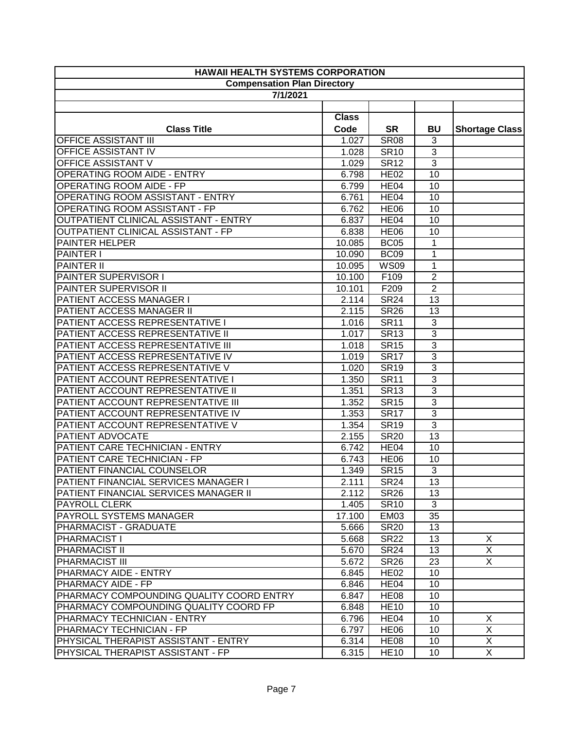| <b>HAWAII HEALTH SYSTEMS CORPORATION</b> |                                    |                  |                |                       |
|------------------------------------------|------------------------------------|------------------|----------------|-----------------------|
|                                          | <b>Compensation Plan Directory</b> |                  |                |                       |
| 7/1/2021                                 |                                    |                  |                |                       |
|                                          |                                    |                  |                |                       |
|                                          | <b>Class</b>                       |                  |                |                       |
| <b>Class Title</b>                       | Code                               | <b>SR</b>        | BU             | <b>Shortage Class</b> |
| <b>OFFICE ASSISTANT III</b>              | 1.027                              | <b>SR08</b>      | 3              |                       |
| <b>OFFICE ASSISTANT IV</b>               | $\overline{1.028}$                 | <b>SR10</b>      | $\overline{3}$ |                       |
| <b>OFFICE ASSISTANT V</b>                | 1.029                              | <b>SR12</b>      | 3              |                       |
| <b>OPERATING ROOM AIDE - ENTRY</b>       | 6.798                              | <b>HE02</b>      | 10             |                       |
| <b>OPERATING ROOM AIDE - FP</b>          | 6.799                              | HE04             | 10             |                       |
| OPERATING ROOM ASSISTANT - ENTRY         | 6.761                              | HE <sub>04</sub> | 10             |                       |
| OPERATING ROOM ASSISTANT - FP            | 6.762                              | <b>HE06</b>      | 10             |                       |
| OUTPATIENT CLINICAL ASSISTANT - ENTRY    | 6.837                              | HE <sub>04</sub> | 10             |                       |
| OUTPATIENT CLINICAL ASSISTANT - FP       | 6.838                              | <b>HE06</b>      | 10             |                       |
| PAINTER HELPER                           | 10.085                             | BC <sub>05</sub> | 1              |                       |
| <b>PAINTER I</b>                         | 10.090                             | <b>BC09</b>      | 1              |                       |
| <b>PAINTER II</b>                        | 10.095                             | <b>WS09</b>      | 1              |                       |
| PAINTER SUPERVISOR I                     | 10.100                             | F109             | $\overline{2}$ |                       |
| PAINTER SUPERVISOR II                    | 10.101                             | F209             | $\overline{2}$ |                       |
| PATIENT ACCESS MANAGER I                 | 2.114                              | <b>SR24</b>      | 13             |                       |
| PATIENT ACCESS MANAGER II                | 2.115                              | <b>SR26</b>      | 13             |                       |
| PATIENT ACCESS REPRESENTATIVE I          | 1.016                              | <b>SR11</b>      | $\overline{3}$ |                       |
| PATIENT ACCESS REPRESENTATIVE II         | 1.017                              | <b>SR13</b>      | $\overline{3}$ |                       |
| PATIENT ACCESS REPRESENTATIVE III        | 1.018                              | <b>SR15</b>      | 3              |                       |
| PATIENT ACCESS REPRESENTATIVE IV         | 1.019                              | <b>SR17</b>      | 3              |                       |
| PATIENT ACCESS REPRESENTATIVE V          | 1.020                              | <b>SR19</b>      | $\overline{3}$ |                       |
| PATIENT ACCOUNT REPRESENTATIVE I         | 1.350                              | <b>SR11</b>      | $\overline{3}$ |                       |
| PATIENT ACCOUNT REPRESENTATIVE II        | 1.351                              | <b>SR13</b>      | $\overline{3}$ |                       |
| PATIENT ACCOUNT REPRESENTATIVE III       | 1.352                              | <b>SR15</b>      | $\overline{3}$ |                       |
| PATIENT ACCOUNT REPRESENTATIVE IV        | 1.353                              | <b>SR17</b>      | $\overline{3}$ |                       |
| PATIENT ACCOUNT REPRESENTATIVE V         | 1.354                              | <b>SR19</b>      | $\overline{3}$ |                       |
| PATIENT ADVOCATE                         | 2.155                              | <b>SR20</b>      | 13             |                       |
| PATIENT CARE TECHNICIAN - ENTRY          | 6.742                              | HE <sub>04</sub> | 10             |                       |
| PATIENT CARE TECHNICIAN - FP             | 6.743                              | <b>HE06</b>      | 10             |                       |
| PATIENT FINANCIAL COUNSELOR              | 1.349                              | <b>SR15</b>      | $\overline{3}$ |                       |
| PATIENT FINANCIAL SERVICES MANAGER I     | 2.111                              | <b>SR24</b>      | 13             |                       |
| PATIENT FINANCIAL SERVICES MANAGER II    | 2.112                              | <b>SR26</b>      | 13             |                       |
| <b>PAYROLL CLERK</b>                     | 1.405                              | <b>SR10</b>      | 3              |                       |
| PAYROLL SYSTEMS MANAGER                  | 17.100                             | <b>EM03</b>      | 35             |                       |
| PHARMACIST - GRADUATE                    | 5.666                              | <b>SR20</b>      | 13             |                       |
| <b>PHARMACIST I</b>                      | 5.668                              | <b>SR22</b>      | 13             | X                     |
| <b>PHARMACIST II</b>                     | 5.670                              | <b>SR24</b>      | 13             | X                     |
| PHARMACIST III                           | 5.672                              | <b>SR26</b>      | 23             | $\overline{X}$        |
| PHARMACY AIDE - ENTRY                    | 6.845                              | <b>HE02</b>      | 10             |                       |
| PHARMACY AIDE - FP                       | 6.846                              | HE <sub>04</sub> | 10             |                       |
| PHARMACY COMPOUNDING QUALITY COORD ENTRY | 6.847                              | <b>HE08</b>      | 10             |                       |
| PHARMACY COMPOUNDING QUALITY COORD FP    | 6.848                              | <b>HE10</b>      | 10             |                       |
| PHARMACY TECHNICIAN - ENTRY              | 6.796                              | HE <sub>04</sub> | 10             | X                     |
| PHARMACY TECHNICIAN - FP                 | 6.797                              | HE <sub>06</sub> | 10             | X                     |
| PHYSICAL THERAPIST ASSISTANT - ENTRY     | 6.314                              | HE <sub>08</sub> | 10             | X                     |
| PHYSICAL THERAPIST ASSISTANT - FP        | 6.315                              | <b>HE10</b>      | 10             | $\overline{X}$        |
|                                          |                                    |                  |                |                       |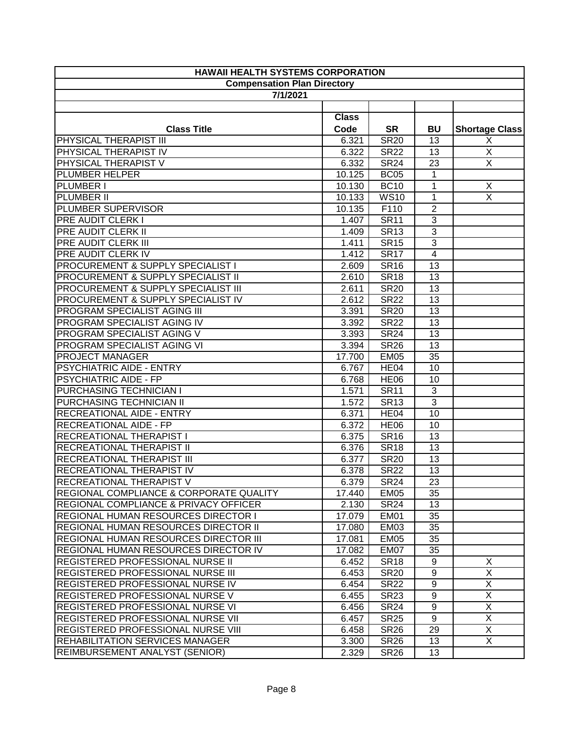| <b>Compensation Plan Directory</b><br>7/1/2021<br><b>Class</b><br><b>SR</b><br><b>Class Title</b><br>Code<br><b>BU</b><br><b>Shortage Class</b><br>PHYSICAL THERAPIST III<br>$\overline{\text{SR}}$ <sub>0</sub><br>X<br>6.321<br>13<br>$\overline{X}$<br>PHYSICAL THERAPIST IV<br><b>SR22</b><br>6.322<br>13<br>$\overline{\mathsf{x}}$<br>PHYSICAL THERAPIST V<br><b>SR24</b><br>$\overline{23}$<br>6.332<br><b>PLUMBER HELPER</b><br><b>BC05</b><br>$\mathbf{1}$<br>10.125<br><b>BC10</b><br>$\mathbf{1}$<br>X<br>10.130<br><b>WS10</b><br>X<br>10.133<br>1<br>F110<br>$\overline{2}$<br>10.135<br>$\sqrt{3}$<br><b>SR11</b><br>1.407<br>3<br><b>SR13</b><br>1.409<br>$\overline{\omega}$<br><b>SR15</b><br>1.411<br>$\overline{4}$<br>1.412<br><b>SR17</b><br>13<br><b>SR16</b><br>2.609<br><b>SR18</b><br>2.610<br>13<br><b>SR20</b><br>13<br>2.611<br>2.612<br><b>SR22</b><br>13<br>PROGRAM SPECIALIST AGING III<br><b>SR20</b><br>13<br>3.391<br>PROGRAM SPECIALIST AGING IV<br>3.392<br><b>SR22</b><br>13<br>PROGRAM SPECIALIST AGING V<br>3.393<br><b>SR24</b><br>13<br>PROGRAM SPECIALIST AGING VI<br><b>SR26</b><br>13<br>3.394<br><b>PROJECT MANAGER</b><br>17.700<br><b>EM05</b><br>35<br>PSYCHIATRIC AIDE - ENTRY<br>HE04<br>10<br>6.767<br><b>PSYCHIATRIC AIDE - FP</b><br><b>HE06</b><br>6.768<br>10<br>PURCHASING TECHNICIAN I<br><b>SR11</b><br>3<br>$\overline{1.571}$<br>$\overline{3}$<br>PURCHASING TECHNICIAN II<br><b>SR13</b><br>1.572<br><b>RECREATIONAL AIDE - ENTRY</b><br>HE04<br>10<br>6.371<br><b>RECREATIONAL AIDE - FP</b><br>6.372<br><b>HE06</b><br>10<br><b>RECREATIONAL THERAPIST I</b><br>6.375<br><b>SR16</b><br>13<br><b>RECREATIONAL THERAPIST II</b><br><b>SR18</b><br>13<br>6.376<br><b>RECREATIONAL THERAPIST III</b><br><b>SR20</b><br>6.377<br>13<br><b>RECREATIONAL THERAPIST IV</b><br>6.378<br>13<br><b>SR22</b><br><b>RECREATIONAL THERAPIST V</b><br>6.379<br><b>SR24</b><br>23<br><b>REGIONAL COMPLIANCE &amp; CORPORATE QUALITY</b><br>17.440<br>EM <sub>05</sub><br>35<br><b>REGIONAL COMPLIANCE &amp; PRIVACY OFFICER</b><br><b>SR24</b><br>2.130<br>13<br>REGIONAL HUMAN RESOURCES DIRECTOR I<br><b>EM01</b><br>17.079<br>35<br>REGIONAL HUMAN RESOURCES DIRECTOR II<br>EM03<br>17.080<br>35<br><b>REGIONAL HUMAN RESOURCES DIRECTOR III</b><br>17.081<br>EM05<br>35<br>REGIONAL HUMAN RESOURCES DIRECTOR IV<br>17.082<br>EM07<br>35<br>REGISTERED PROFESSIONAL NURSE II<br>X<br>6.452<br><b>SR18</b><br>9<br>$\overline{X}$<br>REGISTERED PROFESSIONAL NURSE III<br><b>SR20</b><br>9<br>6.453<br>$\overline{X}$<br>$9\,$<br><b>REGISTERED PROFESSIONAL NURSE IV</b><br><b>SR22</b><br>6.454<br>$\overline{\mathsf{x}}$<br>REGISTERED PROFESSIONAL NURSE V<br>9<br>6.455<br><b>SR23</b><br>$\overline{X}$<br><b>REGISTERED PROFESSIONAL NURSE VI</b><br><b>SR24</b><br>9<br>6.456 | <b>HAWAII HEALTH SYSTEMS CORPORATION</b>       |  |  |  |  |
|-------------------------------------------------------------------------------------------------------------------------------------------------------------------------------------------------------------------------------------------------------------------------------------------------------------------------------------------------------------------------------------------------------------------------------------------------------------------------------------------------------------------------------------------------------------------------------------------------------------------------------------------------------------------------------------------------------------------------------------------------------------------------------------------------------------------------------------------------------------------------------------------------------------------------------------------------------------------------------------------------------------------------------------------------------------------------------------------------------------------------------------------------------------------------------------------------------------------------------------------------------------------------------------------------------------------------------------------------------------------------------------------------------------------------------------------------------------------------------------------------------------------------------------------------------------------------------------------------------------------------------------------------------------------------------------------------------------------------------------------------------------------------------------------------------------------------------------------------------------------------------------------------------------------------------------------------------------------------------------------------------------------------------------------------------------------------------------------------------------------------------------------------------------------------------------------------------------------------------------------------------------------------------------------------------------------------------------------------------------------------------------------------------------------------------------------------------------------------------------------------------------------------------------------------------------------------------------------------------------------------------------------------------------------------------------------------------------------------------------------------------------------------------------------------------------------------------------------|------------------------------------------------|--|--|--|--|
|                                                                                                                                                                                                                                                                                                                                                                                                                                                                                                                                                                                                                                                                                                                                                                                                                                                                                                                                                                                                                                                                                                                                                                                                                                                                                                                                                                                                                                                                                                                                                                                                                                                                                                                                                                                                                                                                                                                                                                                                                                                                                                                                                                                                                                                                                                                                                                                                                                                                                                                                                                                                                                                                                                                                                                                                                                           |                                                |  |  |  |  |
|                                                                                                                                                                                                                                                                                                                                                                                                                                                                                                                                                                                                                                                                                                                                                                                                                                                                                                                                                                                                                                                                                                                                                                                                                                                                                                                                                                                                                                                                                                                                                                                                                                                                                                                                                                                                                                                                                                                                                                                                                                                                                                                                                                                                                                                                                                                                                                                                                                                                                                                                                                                                                                                                                                                                                                                                                                           |                                                |  |  |  |  |
|                                                                                                                                                                                                                                                                                                                                                                                                                                                                                                                                                                                                                                                                                                                                                                                                                                                                                                                                                                                                                                                                                                                                                                                                                                                                                                                                                                                                                                                                                                                                                                                                                                                                                                                                                                                                                                                                                                                                                                                                                                                                                                                                                                                                                                                                                                                                                                                                                                                                                                                                                                                                                                                                                                                                                                                                                                           |                                                |  |  |  |  |
|                                                                                                                                                                                                                                                                                                                                                                                                                                                                                                                                                                                                                                                                                                                                                                                                                                                                                                                                                                                                                                                                                                                                                                                                                                                                                                                                                                                                                                                                                                                                                                                                                                                                                                                                                                                                                                                                                                                                                                                                                                                                                                                                                                                                                                                                                                                                                                                                                                                                                                                                                                                                                                                                                                                                                                                                                                           |                                                |  |  |  |  |
|                                                                                                                                                                                                                                                                                                                                                                                                                                                                                                                                                                                                                                                                                                                                                                                                                                                                                                                                                                                                                                                                                                                                                                                                                                                                                                                                                                                                                                                                                                                                                                                                                                                                                                                                                                                                                                                                                                                                                                                                                                                                                                                                                                                                                                                                                                                                                                                                                                                                                                                                                                                                                                                                                                                                                                                                                                           |                                                |  |  |  |  |
|                                                                                                                                                                                                                                                                                                                                                                                                                                                                                                                                                                                                                                                                                                                                                                                                                                                                                                                                                                                                                                                                                                                                                                                                                                                                                                                                                                                                                                                                                                                                                                                                                                                                                                                                                                                                                                                                                                                                                                                                                                                                                                                                                                                                                                                                                                                                                                                                                                                                                                                                                                                                                                                                                                                                                                                                                                           |                                                |  |  |  |  |
|                                                                                                                                                                                                                                                                                                                                                                                                                                                                                                                                                                                                                                                                                                                                                                                                                                                                                                                                                                                                                                                                                                                                                                                                                                                                                                                                                                                                                                                                                                                                                                                                                                                                                                                                                                                                                                                                                                                                                                                                                                                                                                                                                                                                                                                                                                                                                                                                                                                                                                                                                                                                                                                                                                                                                                                                                                           |                                                |  |  |  |  |
|                                                                                                                                                                                                                                                                                                                                                                                                                                                                                                                                                                                                                                                                                                                                                                                                                                                                                                                                                                                                                                                                                                                                                                                                                                                                                                                                                                                                                                                                                                                                                                                                                                                                                                                                                                                                                                                                                                                                                                                                                                                                                                                                                                                                                                                                                                                                                                                                                                                                                                                                                                                                                                                                                                                                                                                                                                           |                                                |  |  |  |  |
|                                                                                                                                                                                                                                                                                                                                                                                                                                                                                                                                                                                                                                                                                                                                                                                                                                                                                                                                                                                                                                                                                                                                                                                                                                                                                                                                                                                                                                                                                                                                                                                                                                                                                                                                                                                                                                                                                                                                                                                                                                                                                                                                                                                                                                                                                                                                                                                                                                                                                                                                                                                                                                                                                                                                                                                                                                           |                                                |  |  |  |  |
|                                                                                                                                                                                                                                                                                                                                                                                                                                                                                                                                                                                                                                                                                                                                                                                                                                                                                                                                                                                                                                                                                                                                                                                                                                                                                                                                                                                                                                                                                                                                                                                                                                                                                                                                                                                                                                                                                                                                                                                                                                                                                                                                                                                                                                                                                                                                                                                                                                                                                                                                                                                                                                                                                                                                                                                                                                           | <b>PLUMBER I</b>                               |  |  |  |  |
|                                                                                                                                                                                                                                                                                                                                                                                                                                                                                                                                                                                                                                                                                                                                                                                                                                                                                                                                                                                                                                                                                                                                                                                                                                                                                                                                                                                                                                                                                                                                                                                                                                                                                                                                                                                                                                                                                                                                                                                                                                                                                                                                                                                                                                                                                                                                                                                                                                                                                                                                                                                                                                                                                                                                                                                                                                           | <b>PLUMBER II</b>                              |  |  |  |  |
|                                                                                                                                                                                                                                                                                                                                                                                                                                                                                                                                                                                                                                                                                                                                                                                                                                                                                                                                                                                                                                                                                                                                                                                                                                                                                                                                                                                                                                                                                                                                                                                                                                                                                                                                                                                                                                                                                                                                                                                                                                                                                                                                                                                                                                                                                                                                                                                                                                                                                                                                                                                                                                                                                                                                                                                                                                           | PLUMBER SUPERVISOR                             |  |  |  |  |
|                                                                                                                                                                                                                                                                                                                                                                                                                                                                                                                                                                                                                                                                                                                                                                                                                                                                                                                                                                                                                                                                                                                                                                                                                                                                                                                                                                                                                                                                                                                                                                                                                                                                                                                                                                                                                                                                                                                                                                                                                                                                                                                                                                                                                                                                                                                                                                                                                                                                                                                                                                                                                                                                                                                                                                                                                                           | <b>PRE AUDIT CLERK I</b>                       |  |  |  |  |
|                                                                                                                                                                                                                                                                                                                                                                                                                                                                                                                                                                                                                                                                                                                                                                                                                                                                                                                                                                                                                                                                                                                                                                                                                                                                                                                                                                                                                                                                                                                                                                                                                                                                                                                                                                                                                                                                                                                                                                                                                                                                                                                                                                                                                                                                                                                                                                                                                                                                                                                                                                                                                                                                                                                                                                                                                                           | <b>PRE AUDIT CLERK II</b>                      |  |  |  |  |
|                                                                                                                                                                                                                                                                                                                                                                                                                                                                                                                                                                                                                                                                                                                                                                                                                                                                                                                                                                                                                                                                                                                                                                                                                                                                                                                                                                                                                                                                                                                                                                                                                                                                                                                                                                                                                                                                                                                                                                                                                                                                                                                                                                                                                                                                                                                                                                                                                                                                                                                                                                                                                                                                                                                                                                                                                                           | <b>PRE AUDIT CLERK III</b>                     |  |  |  |  |
|                                                                                                                                                                                                                                                                                                                                                                                                                                                                                                                                                                                                                                                                                                                                                                                                                                                                                                                                                                                                                                                                                                                                                                                                                                                                                                                                                                                                                                                                                                                                                                                                                                                                                                                                                                                                                                                                                                                                                                                                                                                                                                                                                                                                                                                                                                                                                                                                                                                                                                                                                                                                                                                                                                                                                                                                                                           | <b>PRE AUDIT CLERK IV</b>                      |  |  |  |  |
|                                                                                                                                                                                                                                                                                                                                                                                                                                                                                                                                                                                                                                                                                                                                                                                                                                                                                                                                                                                                                                                                                                                                                                                                                                                                                                                                                                                                                                                                                                                                                                                                                                                                                                                                                                                                                                                                                                                                                                                                                                                                                                                                                                                                                                                                                                                                                                                                                                                                                                                                                                                                                                                                                                                                                                                                                                           | PROCUREMENT & SUPPLY SPECIALIST I              |  |  |  |  |
|                                                                                                                                                                                                                                                                                                                                                                                                                                                                                                                                                                                                                                                                                                                                                                                                                                                                                                                                                                                                                                                                                                                                                                                                                                                                                                                                                                                                                                                                                                                                                                                                                                                                                                                                                                                                                                                                                                                                                                                                                                                                                                                                                                                                                                                                                                                                                                                                                                                                                                                                                                                                                                                                                                                                                                                                                                           | <b>PROCUREMENT &amp; SUPPLY SPECIALIST II</b>  |  |  |  |  |
|                                                                                                                                                                                                                                                                                                                                                                                                                                                                                                                                                                                                                                                                                                                                                                                                                                                                                                                                                                                                                                                                                                                                                                                                                                                                                                                                                                                                                                                                                                                                                                                                                                                                                                                                                                                                                                                                                                                                                                                                                                                                                                                                                                                                                                                                                                                                                                                                                                                                                                                                                                                                                                                                                                                                                                                                                                           | <b>PROCUREMENT &amp; SUPPLY SPECIALIST III</b> |  |  |  |  |
|                                                                                                                                                                                                                                                                                                                                                                                                                                                                                                                                                                                                                                                                                                                                                                                                                                                                                                                                                                                                                                                                                                                                                                                                                                                                                                                                                                                                                                                                                                                                                                                                                                                                                                                                                                                                                                                                                                                                                                                                                                                                                                                                                                                                                                                                                                                                                                                                                                                                                                                                                                                                                                                                                                                                                                                                                                           | PROCUREMENT & SUPPLY SPECIALIST IV             |  |  |  |  |
|                                                                                                                                                                                                                                                                                                                                                                                                                                                                                                                                                                                                                                                                                                                                                                                                                                                                                                                                                                                                                                                                                                                                                                                                                                                                                                                                                                                                                                                                                                                                                                                                                                                                                                                                                                                                                                                                                                                                                                                                                                                                                                                                                                                                                                                                                                                                                                                                                                                                                                                                                                                                                                                                                                                                                                                                                                           |                                                |  |  |  |  |
|                                                                                                                                                                                                                                                                                                                                                                                                                                                                                                                                                                                                                                                                                                                                                                                                                                                                                                                                                                                                                                                                                                                                                                                                                                                                                                                                                                                                                                                                                                                                                                                                                                                                                                                                                                                                                                                                                                                                                                                                                                                                                                                                                                                                                                                                                                                                                                                                                                                                                                                                                                                                                                                                                                                                                                                                                                           |                                                |  |  |  |  |
|                                                                                                                                                                                                                                                                                                                                                                                                                                                                                                                                                                                                                                                                                                                                                                                                                                                                                                                                                                                                                                                                                                                                                                                                                                                                                                                                                                                                                                                                                                                                                                                                                                                                                                                                                                                                                                                                                                                                                                                                                                                                                                                                                                                                                                                                                                                                                                                                                                                                                                                                                                                                                                                                                                                                                                                                                                           |                                                |  |  |  |  |
|                                                                                                                                                                                                                                                                                                                                                                                                                                                                                                                                                                                                                                                                                                                                                                                                                                                                                                                                                                                                                                                                                                                                                                                                                                                                                                                                                                                                                                                                                                                                                                                                                                                                                                                                                                                                                                                                                                                                                                                                                                                                                                                                                                                                                                                                                                                                                                                                                                                                                                                                                                                                                                                                                                                                                                                                                                           |                                                |  |  |  |  |
|                                                                                                                                                                                                                                                                                                                                                                                                                                                                                                                                                                                                                                                                                                                                                                                                                                                                                                                                                                                                                                                                                                                                                                                                                                                                                                                                                                                                                                                                                                                                                                                                                                                                                                                                                                                                                                                                                                                                                                                                                                                                                                                                                                                                                                                                                                                                                                                                                                                                                                                                                                                                                                                                                                                                                                                                                                           |                                                |  |  |  |  |
|                                                                                                                                                                                                                                                                                                                                                                                                                                                                                                                                                                                                                                                                                                                                                                                                                                                                                                                                                                                                                                                                                                                                                                                                                                                                                                                                                                                                                                                                                                                                                                                                                                                                                                                                                                                                                                                                                                                                                                                                                                                                                                                                                                                                                                                                                                                                                                                                                                                                                                                                                                                                                                                                                                                                                                                                                                           |                                                |  |  |  |  |
|                                                                                                                                                                                                                                                                                                                                                                                                                                                                                                                                                                                                                                                                                                                                                                                                                                                                                                                                                                                                                                                                                                                                                                                                                                                                                                                                                                                                                                                                                                                                                                                                                                                                                                                                                                                                                                                                                                                                                                                                                                                                                                                                                                                                                                                                                                                                                                                                                                                                                                                                                                                                                                                                                                                                                                                                                                           |                                                |  |  |  |  |
|                                                                                                                                                                                                                                                                                                                                                                                                                                                                                                                                                                                                                                                                                                                                                                                                                                                                                                                                                                                                                                                                                                                                                                                                                                                                                                                                                                                                                                                                                                                                                                                                                                                                                                                                                                                                                                                                                                                                                                                                                                                                                                                                                                                                                                                                                                                                                                                                                                                                                                                                                                                                                                                                                                                                                                                                                                           |                                                |  |  |  |  |
|                                                                                                                                                                                                                                                                                                                                                                                                                                                                                                                                                                                                                                                                                                                                                                                                                                                                                                                                                                                                                                                                                                                                                                                                                                                                                                                                                                                                                                                                                                                                                                                                                                                                                                                                                                                                                                                                                                                                                                                                                                                                                                                                                                                                                                                                                                                                                                                                                                                                                                                                                                                                                                                                                                                                                                                                                                           |                                                |  |  |  |  |
|                                                                                                                                                                                                                                                                                                                                                                                                                                                                                                                                                                                                                                                                                                                                                                                                                                                                                                                                                                                                                                                                                                                                                                                                                                                                                                                                                                                                                                                                                                                                                                                                                                                                                                                                                                                                                                                                                                                                                                                                                                                                                                                                                                                                                                                                                                                                                                                                                                                                                                                                                                                                                                                                                                                                                                                                                                           |                                                |  |  |  |  |
|                                                                                                                                                                                                                                                                                                                                                                                                                                                                                                                                                                                                                                                                                                                                                                                                                                                                                                                                                                                                                                                                                                                                                                                                                                                                                                                                                                                                                                                                                                                                                                                                                                                                                                                                                                                                                                                                                                                                                                                                                                                                                                                                                                                                                                                                                                                                                                                                                                                                                                                                                                                                                                                                                                                                                                                                                                           |                                                |  |  |  |  |
|                                                                                                                                                                                                                                                                                                                                                                                                                                                                                                                                                                                                                                                                                                                                                                                                                                                                                                                                                                                                                                                                                                                                                                                                                                                                                                                                                                                                                                                                                                                                                                                                                                                                                                                                                                                                                                                                                                                                                                                                                                                                                                                                                                                                                                                                                                                                                                                                                                                                                                                                                                                                                                                                                                                                                                                                                                           |                                                |  |  |  |  |
|                                                                                                                                                                                                                                                                                                                                                                                                                                                                                                                                                                                                                                                                                                                                                                                                                                                                                                                                                                                                                                                                                                                                                                                                                                                                                                                                                                                                                                                                                                                                                                                                                                                                                                                                                                                                                                                                                                                                                                                                                                                                                                                                                                                                                                                                                                                                                                                                                                                                                                                                                                                                                                                                                                                                                                                                                                           |                                                |  |  |  |  |
|                                                                                                                                                                                                                                                                                                                                                                                                                                                                                                                                                                                                                                                                                                                                                                                                                                                                                                                                                                                                                                                                                                                                                                                                                                                                                                                                                                                                                                                                                                                                                                                                                                                                                                                                                                                                                                                                                                                                                                                                                                                                                                                                                                                                                                                                                                                                                                                                                                                                                                                                                                                                                                                                                                                                                                                                                                           |                                                |  |  |  |  |
|                                                                                                                                                                                                                                                                                                                                                                                                                                                                                                                                                                                                                                                                                                                                                                                                                                                                                                                                                                                                                                                                                                                                                                                                                                                                                                                                                                                                                                                                                                                                                                                                                                                                                                                                                                                                                                                                                                                                                                                                                                                                                                                                                                                                                                                                                                                                                                                                                                                                                                                                                                                                                                                                                                                                                                                                                                           |                                                |  |  |  |  |
|                                                                                                                                                                                                                                                                                                                                                                                                                                                                                                                                                                                                                                                                                                                                                                                                                                                                                                                                                                                                                                                                                                                                                                                                                                                                                                                                                                                                                                                                                                                                                                                                                                                                                                                                                                                                                                                                                                                                                                                                                                                                                                                                                                                                                                                                                                                                                                                                                                                                                                                                                                                                                                                                                                                                                                                                                                           |                                                |  |  |  |  |
|                                                                                                                                                                                                                                                                                                                                                                                                                                                                                                                                                                                                                                                                                                                                                                                                                                                                                                                                                                                                                                                                                                                                                                                                                                                                                                                                                                                                                                                                                                                                                                                                                                                                                                                                                                                                                                                                                                                                                                                                                                                                                                                                                                                                                                                                                                                                                                                                                                                                                                                                                                                                                                                                                                                                                                                                                                           |                                                |  |  |  |  |
|                                                                                                                                                                                                                                                                                                                                                                                                                                                                                                                                                                                                                                                                                                                                                                                                                                                                                                                                                                                                                                                                                                                                                                                                                                                                                                                                                                                                                                                                                                                                                                                                                                                                                                                                                                                                                                                                                                                                                                                                                                                                                                                                                                                                                                                                                                                                                                                                                                                                                                                                                                                                                                                                                                                                                                                                                                           |                                                |  |  |  |  |
|                                                                                                                                                                                                                                                                                                                                                                                                                                                                                                                                                                                                                                                                                                                                                                                                                                                                                                                                                                                                                                                                                                                                                                                                                                                                                                                                                                                                                                                                                                                                                                                                                                                                                                                                                                                                                                                                                                                                                                                                                                                                                                                                                                                                                                                                                                                                                                                                                                                                                                                                                                                                                                                                                                                                                                                                                                           |                                                |  |  |  |  |
|                                                                                                                                                                                                                                                                                                                                                                                                                                                                                                                                                                                                                                                                                                                                                                                                                                                                                                                                                                                                                                                                                                                                                                                                                                                                                                                                                                                                                                                                                                                                                                                                                                                                                                                                                                                                                                                                                                                                                                                                                                                                                                                                                                                                                                                                                                                                                                                                                                                                                                                                                                                                                                                                                                                                                                                                                                           |                                                |  |  |  |  |
|                                                                                                                                                                                                                                                                                                                                                                                                                                                                                                                                                                                                                                                                                                                                                                                                                                                                                                                                                                                                                                                                                                                                                                                                                                                                                                                                                                                                                                                                                                                                                                                                                                                                                                                                                                                                                                                                                                                                                                                                                                                                                                                                                                                                                                                                                                                                                                                                                                                                                                                                                                                                                                                                                                                                                                                                                                           |                                                |  |  |  |  |
|                                                                                                                                                                                                                                                                                                                                                                                                                                                                                                                                                                                                                                                                                                                                                                                                                                                                                                                                                                                                                                                                                                                                                                                                                                                                                                                                                                                                                                                                                                                                                                                                                                                                                                                                                                                                                                                                                                                                                                                                                                                                                                                                                                                                                                                                                                                                                                                                                                                                                                                                                                                                                                                                                                                                                                                                                                           |                                                |  |  |  |  |
|                                                                                                                                                                                                                                                                                                                                                                                                                                                                                                                                                                                                                                                                                                                                                                                                                                                                                                                                                                                                                                                                                                                                                                                                                                                                                                                                                                                                                                                                                                                                                                                                                                                                                                                                                                                                                                                                                                                                                                                                                                                                                                                                                                                                                                                                                                                                                                                                                                                                                                                                                                                                                                                                                                                                                                                                                                           |                                                |  |  |  |  |
|                                                                                                                                                                                                                                                                                                                                                                                                                                                                                                                                                                                                                                                                                                                                                                                                                                                                                                                                                                                                                                                                                                                                                                                                                                                                                                                                                                                                                                                                                                                                                                                                                                                                                                                                                                                                                                                                                                                                                                                                                                                                                                                                                                                                                                                                                                                                                                                                                                                                                                                                                                                                                                                                                                                                                                                                                                           |                                                |  |  |  |  |
|                                                                                                                                                                                                                                                                                                                                                                                                                                                                                                                                                                                                                                                                                                                                                                                                                                                                                                                                                                                                                                                                                                                                                                                                                                                                                                                                                                                                                                                                                                                                                                                                                                                                                                                                                                                                                                                                                                                                                                                                                                                                                                                                                                                                                                                                                                                                                                                                                                                                                                                                                                                                                                                                                                                                                                                                                                           |                                                |  |  |  |  |
|                                                                                                                                                                                                                                                                                                                                                                                                                                                                                                                                                                                                                                                                                                                                                                                                                                                                                                                                                                                                                                                                                                                                                                                                                                                                                                                                                                                                                                                                                                                                                                                                                                                                                                                                                                                                                                                                                                                                                                                                                                                                                                                                                                                                                                                                                                                                                                                                                                                                                                                                                                                                                                                                                                                                                                                                                                           |                                                |  |  |  |  |
|                                                                                                                                                                                                                                                                                                                                                                                                                                                                                                                                                                                                                                                                                                                                                                                                                                                                                                                                                                                                                                                                                                                                                                                                                                                                                                                                                                                                                                                                                                                                                                                                                                                                                                                                                                                                                                                                                                                                                                                                                                                                                                                                                                                                                                                                                                                                                                                                                                                                                                                                                                                                                                                                                                                                                                                                                                           |                                                |  |  |  |  |
| $\overline{X}$<br>9<br><b>SR25</b><br>6.457                                                                                                                                                                                                                                                                                                                                                                                                                                                                                                                                                                                                                                                                                                                                                                                                                                                                                                                                                                                                                                                                                                                                                                                                                                                                                                                                                                                                                                                                                                                                                                                                                                                                                                                                                                                                                                                                                                                                                                                                                                                                                                                                                                                                                                                                                                                                                                                                                                                                                                                                                                                                                                                                                                                                                                                               | REGISTERED PROFESSIONAL NURSE VII              |  |  |  |  |
| $\overline{X}$<br><b>SR26</b><br>29<br>6.458                                                                                                                                                                                                                                                                                                                                                                                                                                                                                                                                                                                                                                                                                                                                                                                                                                                                                                                                                                                                                                                                                                                                                                                                                                                                                                                                                                                                                                                                                                                                                                                                                                                                                                                                                                                                                                                                                                                                                                                                                                                                                                                                                                                                                                                                                                                                                                                                                                                                                                                                                                                                                                                                                                                                                                                              | REGISTERED PROFESSIONAL NURSE VIII             |  |  |  |  |
| X<br>3.300<br>SR <sub>26</sub><br>13                                                                                                                                                                                                                                                                                                                                                                                                                                                                                                                                                                                                                                                                                                                                                                                                                                                                                                                                                                                                                                                                                                                                                                                                                                                                                                                                                                                                                                                                                                                                                                                                                                                                                                                                                                                                                                                                                                                                                                                                                                                                                                                                                                                                                                                                                                                                                                                                                                                                                                                                                                                                                                                                                                                                                                                                      | <b>REHABILITATION SERVICES MANAGER</b>         |  |  |  |  |
| 2.329<br><b>SR26</b><br>13                                                                                                                                                                                                                                                                                                                                                                                                                                                                                                                                                                                                                                                                                                                                                                                                                                                                                                                                                                                                                                                                                                                                                                                                                                                                                                                                                                                                                                                                                                                                                                                                                                                                                                                                                                                                                                                                                                                                                                                                                                                                                                                                                                                                                                                                                                                                                                                                                                                                                                                                                                                                                                                                                                                                                                                                                | <b>REIMBURSEMENT ANALYST (SENIOR)</b>          |  |  |  |  |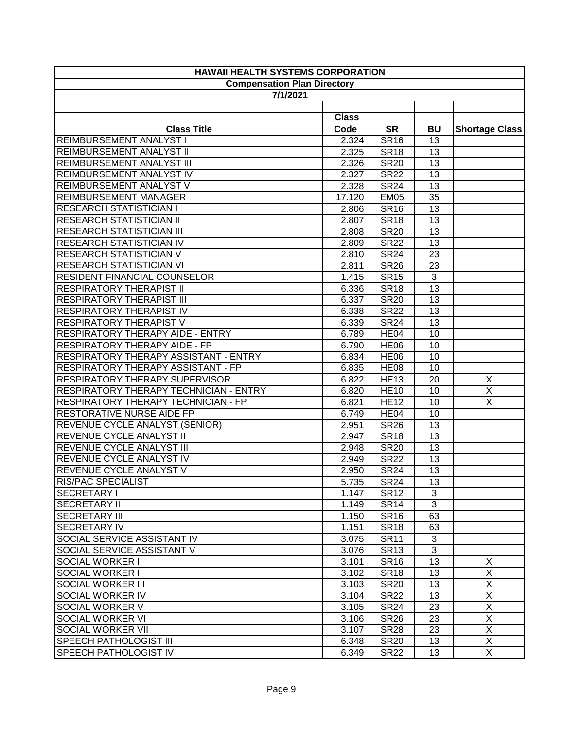| <b>HAWAII HEALTH SYSTEMS CORPORATION</b>      |                                    |                  |                 |                         |
|-----------------------------------------------|------------------------------------|------------------|-----------------|-------------------------|
|                                               | <b>Compensation Plan Directory</b> |                  |                 |                         |
| 7/1/2021                                      |                                    |                  |                 |                         |
|                                               |                                    |                  |                 |                         |
|                                               | <b>Class</b>                       |                  |                 |                         |
| <b>Class Title</b>                            | Code                               | <b>SR</b>        | <b>BU</b>       | <b>Shortage Class</b>   |
| REIMBURSEMENT ANALYST I                       | 2.324                              | <b>SR16</b>      | 13              |                         |
| REIMBURSEMENT ANALYST II                      | 2.325                              | <b>SR18</b>      | 13              |                         |
| <b>REIMBURSEMENT ANALYST III</b>              | 2.326                              | <b>SR20</b>      | 13              |                         |
| REIMBURSEMENT ANALYST IV                      | 2.327                              | <b>SR22</b>      | 13              |                         |
| REIMBURSEMENT ANALYST V                       | 2.328                              | <b>SR24</b>      | 13              |                         |
| <b>REIMBURSEMENT MANAGER</b>                  | 17.120                             | <b>EM05</b>      | 35              |                         |
| <b>RESEARCH STATISTICIAN I</b>                | 2.806                              | <b>SR16</b>      | 13              |                         |
| <b>RESEARCH STATISTICIAN II</b>               | 2.807                              | <b>SR18</b>      | 13              |                         |
| <b>RESEARCH STATISTICIAN III</b>              | 2.808                              | <b>SR20</b>      | 13              |                         |
| <b>RESEARCH STATISTICIAN IV</b>               | 2.809                              | <b>SR22</b>      | 13              |                         |
| <b>RESEARCH STATISTICIAN V</b>                | 2.810                              | <b>SR24</b>      | 23              |                         |
| <b>RESEARCH STATISTICIAN VI</b>               | 2.811                              | <b>SR26</b>      | 23              |                         |
| <b>RESIDENT FINANCIAL COUNSELOR</b>           | 1.415                              | <b>SR15</b>      | 3               |                         |
| <b>RESPIRATORY THERAPIST II</b>               | 6.336                              | <b>SR18</b>      | 13              |                         |
| <b>RESPIRATORY THERAPIST III</b>              | 6.337                              | <b>SR20</b>      | 13              |                         |
| <b>RESPIRATORY THERAPIST IV</b>               | 6.338                              | <b>SR22</b>      | 13              |                         |
| <b>RESPIRATORY THERAPIST V</b>                | 6.339                              | <b>SR24</b>      | 13              |                         |
| <b>RESPIRATORY THERAPY AIDE - ENTRY</b>       | 6.789                              | HE <sub>04</sub> | 10              |                         |
| <b>RESPIRATORY THERAPY AIDE - FP</b>          | 6.790                              | <b>HE06</b>      | 10              |                         |
| RESPIRATORY THERAPY ASSISTANT - ENTRY         | 6.834                              | <b>HE06</b>      | 10              |                         |
| <b>RESPIRATORY THERAPY ASSISTANT - FP</b>     | 6.835                              | <b>HE08</b>      | 10              |                         |
| <b>RESPIRATORY THERAPY SUPERVISOR</b>         | 6.822                              | <b>HE13</b>      | 20              | $\overline{\mathsf{x}}$ |
| <b>RESPIRATORY THERAPY TECHNICIAN - ENTRY</b> | 6.820                              | <b>HE10</b>      | 10              | $\overline{\mathsf{x}}$ |
| <b>RESPIRATORY THERAPY TECHNICIAN - FP</b>    | 6.821                              | <b>HE12</b>      | 10              | $\overline{X}$          |
| <b>RESTORATIVE NURSE AIDE FP</b>              | 6.749                              | HE <sub>04</sub> | 10              |                         |
| REVENUE CYCLE ANALYST (SENIOR)                | 2.951                              | <b>SR26</b>      | 13              |                         |
| <b>REVENUE CYCLE ANALYST II</b>               | 2.947                              | <b>SR18</b>      | 13              |                         |
| <b>REVENUE CYCLE ANALYST III</b>              | 2.948                              | <b>SR20</b>      | 13              |                         |
| REVENUE CYCLE ANALYST IV                      | 2.949                              | <b>SR22</b>      | 13              |                         |
| <b>REVENUE CYCLE ANALYST V</b>                | 2.950                              | <b>SR24</b>      | $\overline{13}$ |                         |
| <b>RIS/PAC SPECIALIST</b>                     | 5.735                              | <b>SR24</b>      | 13              |                         |
| SECRETARY I                                   | 1.147                              | <b>SR12</b>      | 3               |                         |
| <b>SECRETARY II</b>                           | 1.149                              | <b>SR14</b>      | 3               |                         |
| <b>SECRETARY III</b>                          | 1.150                              | <b>SR16</b>      | 63              |                         |
| <b>SECRETARY IV</b>                           | 1.151                              | <b>SR18</b>      | 63              |                         |
| <b>SOCIAL SERVICE ASSISTANT IV</b>            | 3.075                              | <b>SR11</b>      | 3               |                         |
| <b>SOCIAL SERVICE ASSISTANT V</b>             | 3.076                              | <b>SR13</b>      | 3               |                         |
| <b>SOCIAL WORKER I</b>                        | 3.101                              | <b>SR16</b>      | 13              | X                       |
| <b>SOCIAL WORKER II</b>                       | 3.102                              | <b>SR18</b>      | 13              | $\overline{X}$          |
| <b>SOCIAL WORKER III</b>                      | 3.103                              | <b>SR20</b>      | 13              | $\overline{X}$          |
| <b>SOCIAL WORKER IV</b>                       | 3.104                              | <b>SR22</b>      | 13              | $\overline{X}$          |
| <b>SOCIAL WORKER V</b>                        | 3.105                              | <b>SR24</b>      | 23              | X                       |
| <b>SOCIAL WORKER VI</b>                       | 3.106                              | <b>SR26</b>      | 23              | $\overline{X}$          |
| <b>SOCIAL WORKER VII</b>                      | 3.107                              | <b>SR28</b>      | 23              | X                       |
| <b>SPEECH PATHOLOGIST III</b>                 | 6.348                              | <b>SR20</b>      | 13              | X                       |
| <b>SPEECH PATHOLOGIST IV</b>                  | 6.349                              | <b>SR22</b>      | 13              | X                       |